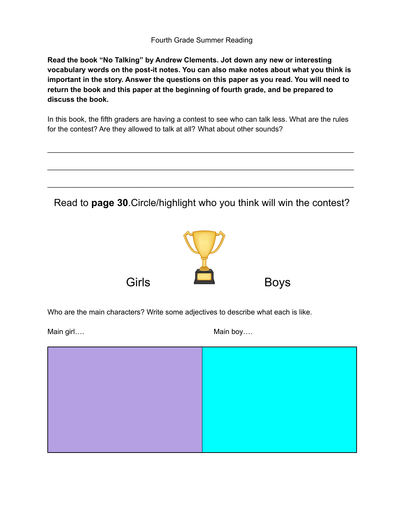**Read the book "No Talking" by Andrew Clements. Jot down any new or interesting vocabulary words on the post-it notes. You can also make notes about what you think is important in the story. Answer the questions on this paper as you read. You will need to return the book and this paper at the beginning of fourth grade, and be prepared to discuss the book.**

In this book, the fifth graders are having a contest to see who can talk less. What are the rules for the contest? Are they allowed to talk at all? What about other sounds?

\_\_\_\_\_\_\_\_\_\_\_\_\_\_\_\_\_\_\_\_\_\_\_\_\_\_\_\_\_\_\_\_\_\_\_\_\_\_\_\_\_\_\_\_\_\_\_\_\_\_\_\_\_\_\_\_\_\_\_\_\_\_\_\_\_\_\_\_\_\_\_\_\_\_\_\_

\_\_\_\_\_\_\_\_\_\_\_\_\_\_\_\_\_\_\_\_\_\_\_\_\_\_\_\_\_\_\_\_\_\_\_\_\_\_\_\_\_\_\_\_\_\_\_\_\_\_\_\_\_\_\_\_\_\_\_\_\_\_\_\_\_\_\_\_\_\_\_\_\_\_\_\_

\_\_\_\_\_\_\_\_\_\_\_\_\_\_\_\_\_\_\_\_\_\_\_\_\_\_\_\_\_\_\_\_\_\_\_\_\_\_\_\_\_\_\_\_\_\_\_\_\_\_\_\_\_\_\_\_\_\_\_\_\_\_\_\_\_\_\_\_\_\_\_\_\_\_\_\_

Read to **page 30**.Circle/highlight who you think will win the contest?



Who are the main characters? Write some adjectives to describe what each is like.

Main girl…. Main boy….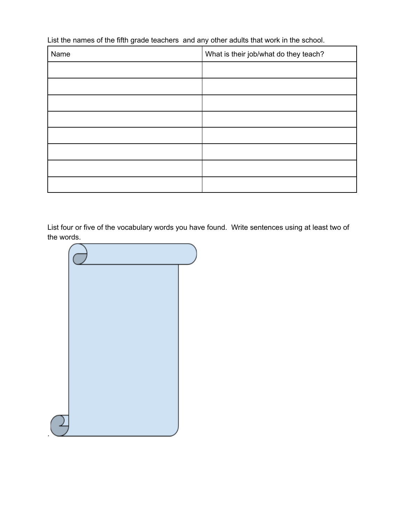List the names of the fifth grade teachers and any other adults that work in the school.

| Name | What is their job/what do they teach? |
|------|---------------------------------------|
|      |                                       |
|      |                                       |
|      |                                       |
|      |                                       |
|      |                                       |
|      |                                       |
|      |                                       |
|      |                                       |

List four or five of the vocabulary words you have found. Write sentences using at least two of the words.



.